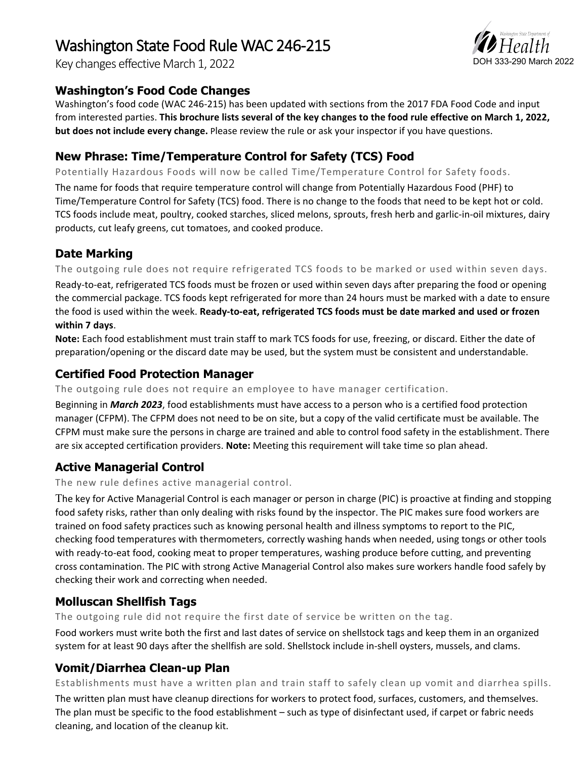# Washington State Food Rule WAC 246-215

Key changes effective March 1, 2022

# **Washington's Food Code Changes**

Washington's food code (WAC 246-215) has been updated with sections from the 2017 FDA Food Code and input from interested parties. **This brochure lists several of the key changes to the food rule effective on March 1, 2022, but does not include every change.** Please review the rule or ask your inspector if you have questions.

### **New Phrase: Time/Temperature Control for Safety (TCS) Food**

Potentially Hazardous Foods will now be called Time/Temperature Control for Safety foods.

The name for foods that require temperature control will change from Potentially Hazardous Food (PHF) to Time/Temperature Control for Safety (TCS) food. There is no change to the foods that need to be kept hot or cold. TCS foods include meat, poultry, cooked starches, sliced melons, sprouts, fresh herb and garlic-in-oil mixtures, dairy products, cut leafy greens, cut tomatoes, and cooked produce.

# **Date Marking**

The outgoing rule does not require refrigerated TCS foods to be marked or used within seven days.

Ready-to-eat, refrigerated TCS foods must be frozen or used within seven days after preparing the food or opening the commercial package. TCS foods kept refrigerated for more than 24 hours must be marked with a date to ensure the food is used within the week. **Ready-to-eat, refrigerated TCS foods must be date marked and used or frozen within 7 days**.

**Note:** Each food establishment must train staff to mark TCS foods for use, freezing, or discard. Either the date of preparation/opening or the discard date may be used, but the system must be consistent and understandable.

# **Certified Food Protection Manager**

The outgoing rule does not require an employee to have manager certification.

Beginning in *March 2023*, food establishments must have access to a person who is a certified food protection manager (CFPM). The CFPM does not need to be on site, but a copy of the valid certificate must be available. The CFPM must make sure the persons in charge are trained and able to control food safety in the establishment. There are six accepted certification providers. **Note:** Meeting this requirement will take time so plan ahead.

# **Active Managerial Control**

The new rule defines active managerial control.

The key for Active Managerial Control is each manager or person in charge (PIC) is proactive at finding and stopping food safety risks, rather than only dealing with risks found by the inspector. The PIC makes sure food workers are trained on food safety practices such as knowing personal health and illness symptoms to report to the PIC, checking food temperatures with thermometers, correctly washing hands when needed, using tongs or other tools with ready-to-eat food, cooking meat to proper temperatures, washing produce before cutting, and preventing cross contamination. The PIC with strong Active Managerial Control also makes sure workers handle food safely by checking their work and correcting when needed.

#### **Molluscan Shellfish Tags**

The outgoing rule did not require the first date of service be written on the tag.

Food workers must write both the first and last dates of service on shellstock tags and keep them in an organized system for at least 90 days after the shellfish are sold. Shellstock include in-shell oysters, mussels, and clams.

# **Vomit/Diarrhea Clean-up Plan**

Establishments must have a written plan and train staff to safely clean up vomit and diarrhea spills.

The written plan must have cleanup directions for workers to protect food, surfaces, customers, and themselves. The plan must be specific to the food establishment – such as type of disinfectant used, if carpet or fabric needs cleaning, and location of the cleanup kit.

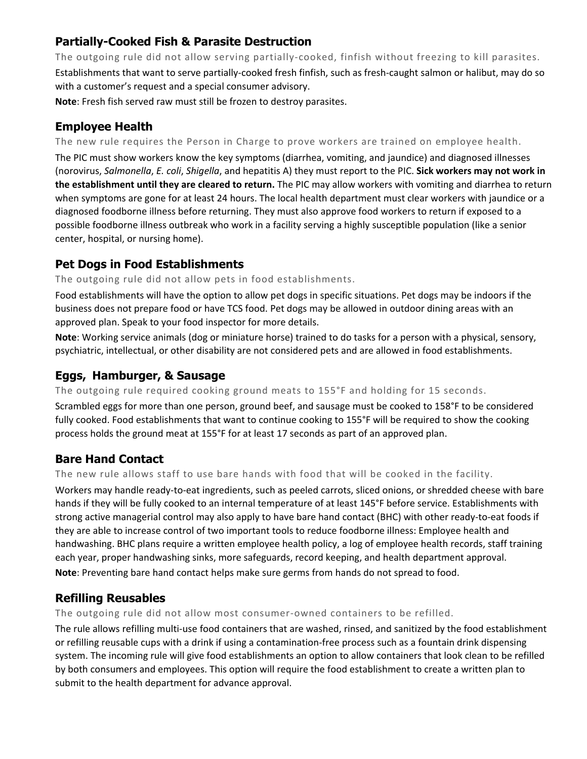# **Partially-Cooked Fish & Parasite Destruction**

The outgoing rule did not allow serving partially-cooked, finfish without freezing to kill parasites. Establishments that want to serve partially-cooked fresh finfish, such as fresh-caught salmon or halibut, may do so with a customer's request and a special consumer advisory.

**Note**: Fresh fish served raw must still be frozen to destroy parasites.

### **Employee Health**

The new rule requires the Person in Charge to prove workers are trained on employee health.

The PIC must show workers know the key symptoms (diarrhea, vomiting, and jaundice) and diagnosed illnesses (norovirus, *Salmonella*, *E. coli*, *Shigella*, and hepatitis A) they must report to the PIC. **Sick workers may not work in the establishment until they are cleared to return.** The PIC may allow workers with vomiting and diarrhea to return when symptoms are gone for at least 24 hours. The local health department must clear workers with jaundice or a diagnosed foodborne illness before returning. They must also approve food workers to return if exposed to a possible foodborne illness outbreak who work in a facility serving a highly susceptible population (like a senior center, hospital, or nursing home).

# **Pet Dogs in Food Establishments**

#### The outgoing rule did not allow pets in food establishments.

Food establishments will have the option to allow pet dogs in specific situations. Pet dogs may be indoors if the business does not prepare food or have TCS food. Pet dogs may be allowed in outdoor dining areas with an approved plan. Speak to your food inspector for more details.

**Note**: Working service animals (dog or miniature horse) trained to do tasks for a person with a physical, sensory, psychiatric, intellectual, or other disability are not considered pets and are allowed in food establishments.

# **Eggs, Hamburger, & Sausage**

The outgoing rule required cooking ground meats to 155°F and holding for 15 seconds.

Scrambled eggs for more than one person, ground beef, and sausage must be cooked to 158°F to be considered fully cooked. Food establishments that want to continue cooking to 155°F will be required to show the cooking process holds the ground meat at 155°F for at least 17 seconds as part of an approved plan.

#### **Bare Hand Contact**

The new rule allows staff to use bare hands with food that will be cooked in the facility.

Workers may handle ready-to-eat ingredients, such as peeled carrots, sliced onions, or shredded cheese with bare hands if they will be fully cooked to an internal temperature of at least 145°F before service. Establishments with strong active managerial control may also apply to have bare hand contact (BHC) with other ready-to-eat foods if they are able to increase control of two important tools to reduce foodborne illness: Employee health and handwashing. BHC plans require a written employee health policy, a log of employee health records, staff training each year, proper handwashing sinks, more safeguards, record keeping, and health department approval. **Note**: Preventing bare hand contact helps make sure germs from hands do not spread to food.

#### **Refilling Reusables**

The outgoing rule did not allow most consumer-owned containers to be refilled.

The rule allows refilling multi-use food containers that are washed, rinsed, and sanitized by the food establishment or refilling reusable cups with a drink if using a contamination-free process such as a fountain drink dispensing system. The incoming rule will give food establishments an option to allow containers that look clean to be refilled by both consumers and employees. This option will require the food establishment to create a written plan to submit to the health department for advance approval.